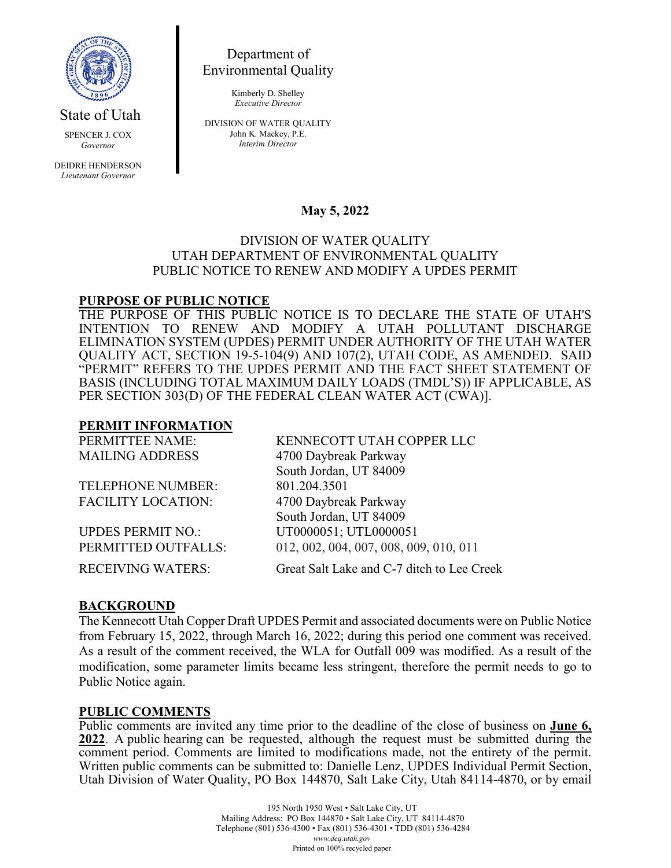

State of Utah

SPENCER J. COX *Governor*

DEIDRE HENDERSON *Lieutenant Governor*

Department of Environmental Quality

> Kimberly D. Shelley *Executive Director*

DIVISION OF WATER QUALITY John K. Mackey, P.E. *Interim Director*

# **May 5, 2022**

#### DIVISION OF WATER QUALITY UTAH DEPARTMENT OF ENVIRONMENTAL QUALITY PUBLIC NOTICE TO RENEW AND MODIFY A UPDES PERMIT

### **PURPOSE OF PUBLIC NOTICE**

THE PURPOSE OF THIS PUBLIC NOTICE IS TO DECLARE THE STATE OF UTAH'S INTENTION TO RENEW AND MODIFY A UTAH POLLUTANT DISCHARGE ELIMINATION SYSTEM (UPDES) PERMIT UNDER AUTHORITY OF THE UTAH WATER QUALITY ACT, SECTION 19-5-104(9) AND 107(2), UTAH CODE, AS AMENDED. SAID "PERMIT" REFERS TO THE UPDES PERMIT AND THE FACT SHEET STATEMENT OF BASIS (INCLUDING TOTAL MAXIMUM DAILY LOADS (TMDL'S)) IF APPLICABLE, AS PER SECTION 303(D) OF THE FEDERAL CLEAN WATER ACT (CWA)].

### **PERMIT INFORMATION**

| PERMITTEE NAME:           | KENNECOTT UTAH COPPER LLC                  |
|---------------------------|--------------------------------------------|
| <b>MAILING ADDRESS</b>    | 4700 Daybreak Parkway                      |
|                           | South Jordan, UT 84009                     |
| <b>TELEPHONE NUMBER:</b>  | 801.204.3501                               |
| <b>FACILITY LOCATION:</b> | 4700 Daybreak Parkway                      |
|                           | South Jordan, UT 84009                     |
| <b>UPDES PERMIT NO.:</b>  | UT0000051; UTL0000051                      |
| PERMITTED OUTFALLS:       | 012, 002, 004, 007, 008, 009, 010, 011     |
| <b>RECEIVING WATERS:</b>  | Great Salt Lake and C-7 ditch to Lee Creek |

# **BACKGROUND**

The Kennecott Utah Copper Draft UPDES Permit and associated documents were on Public Notice from February 15, 2022, through March 16, 2022; during this period one comment was received. As a result of the comment received, the WLA for Outfall 009 was modified. As a result of the modification, some parameter limits became less stringent, therefore the permit needs to go to Public Notice again.

#### **PUBLIC COMMENTS**

Public comments are invited any time prior to the deadline of the close of business on **June 6, 2022**. A public hearing can be requested, although the request must be submitted during the comment period. Comments are limited to modifications made, not the entirety of the permit. Written public comments can be submitted to: Danielle Lenz, UPDES Individual Permit Section, Utah Division of Water Quality, PO Box 144870, Salt Lake City, Utah 84114-4870, or by email

> 195 North 1950 West • Salt Lake City, UT Mailing Address: PO Box 144870 • Salt Lake City, UT 84114-4870 Telephone (801) 536-4300 • Fax (801) 536-4301 • TDD (801) 536-4284 *www.deq.utah.gov* Printed on 100% recycled paper